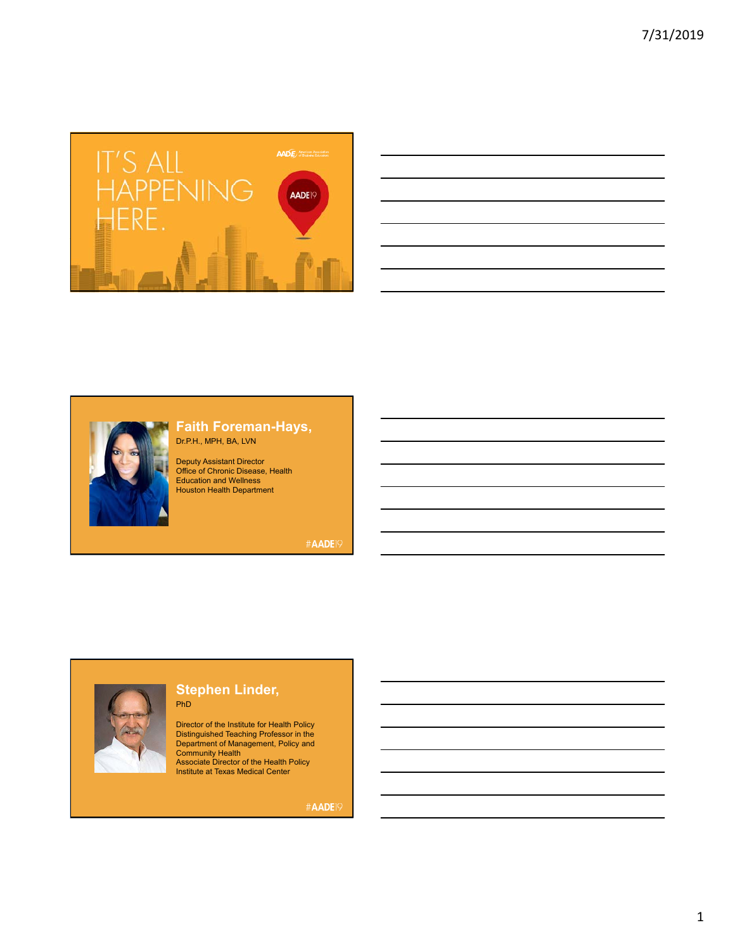

| <u> 1989 - Johann Stoff, amerikansk politiker (d. 1989)</u>                                                                                                                                                                   |  |
|-------------------------------------------------------------------------------------------------------------------------------------------------------------------------------------------------------------------------------|--|
|                                                                                                                                                                                                                               |  |
|                                                                                                                                                                                                                               |  |
| the control of the control of the control of the control of the control of the control of the control of the control of the control of the control of the control of the control of the control of the control of the control |  |
|                                                                                                                                                                                                                               |  |
| the control of the control of the control of the control of the control of the control of the control of the control of the control of the control of the control of the control of the control of the control of the control |  |



### **Faith Foreman-Hays,**  Dr.P.H., MPH, BA, LVN

Deputy Assistant Director Office of Chronic Disease, Health Education and Wellness Houston Health Department

#AADE19

### **Stephen Linder,**  PhD

Distinguished Teaching Professor in the<br>Department of Management, Policy and<br>Community Health<br>Associate Director of the Health Policy<br>Institute at Texas Medical Center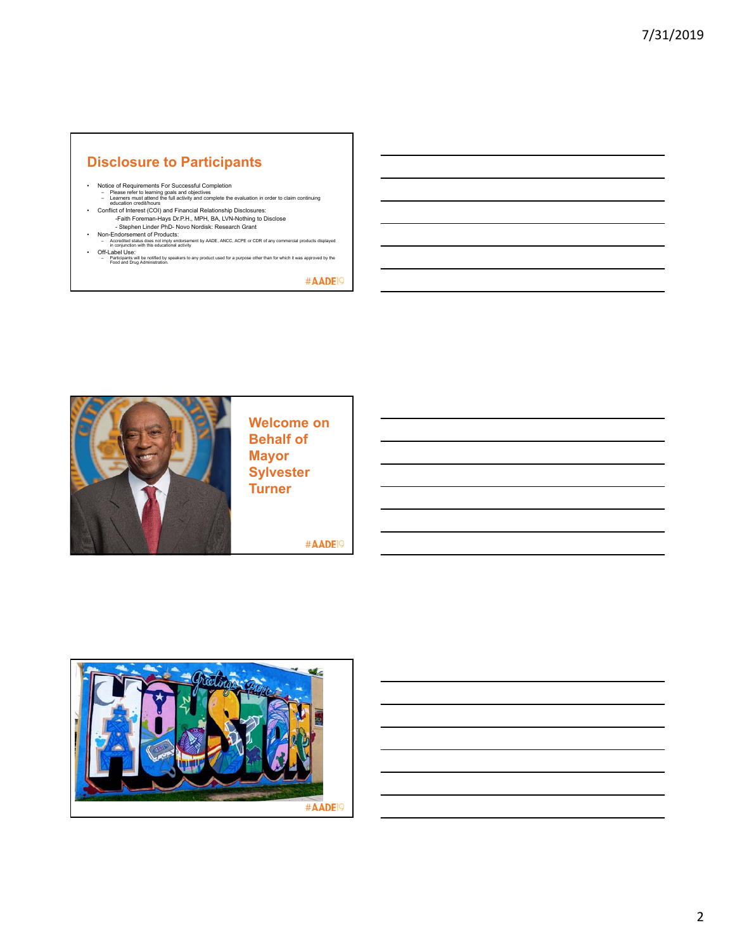# **Disclosure to Participants**

- 
- Notice of Requirements For Successful Completion<br>
Please refer to learning goals and objectives<br>
Learners must attend the full activity and complete the evaluation in order to claim continuing<br>
ducation credithours
	-
	-
- 
- Participants will be notified by speakers to any product used for a purpose other than for which it was approved by the Food and Drug Administration.

#AADE<sup>19</sup>



**Welcome on Behalf of Sylvester Turner**

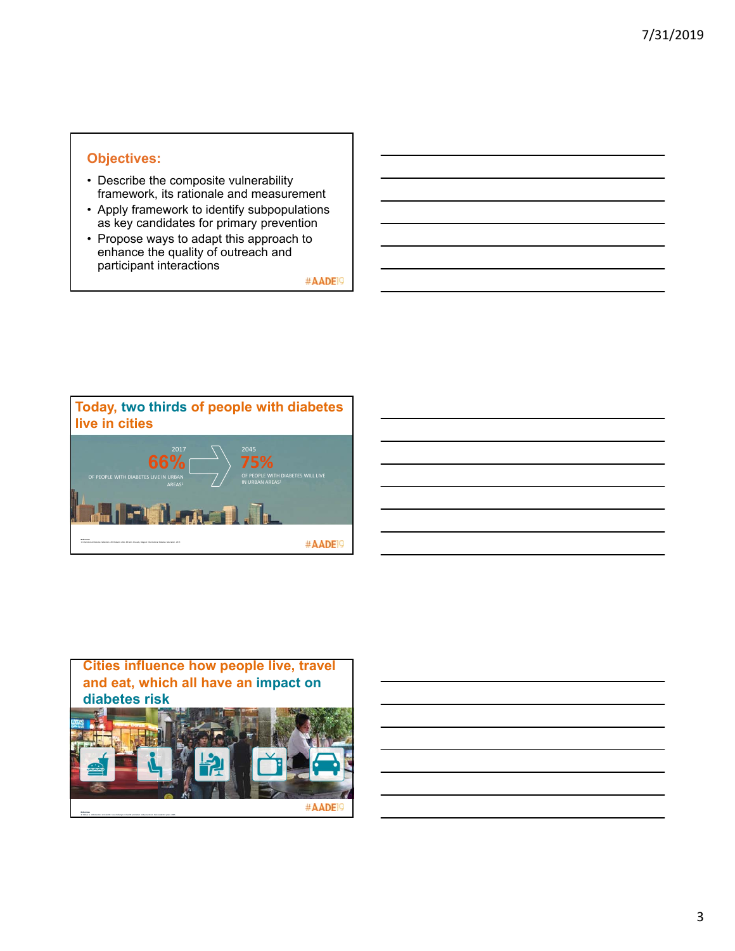# **Objectives:**

- Describe the composite vulnerability framework, its rationale and measurement
- Apply framework to identify subpopulations as key candidates for primary prevention
- Propose ways to adapt this approach to enhance the quality of outreach and participant interactions



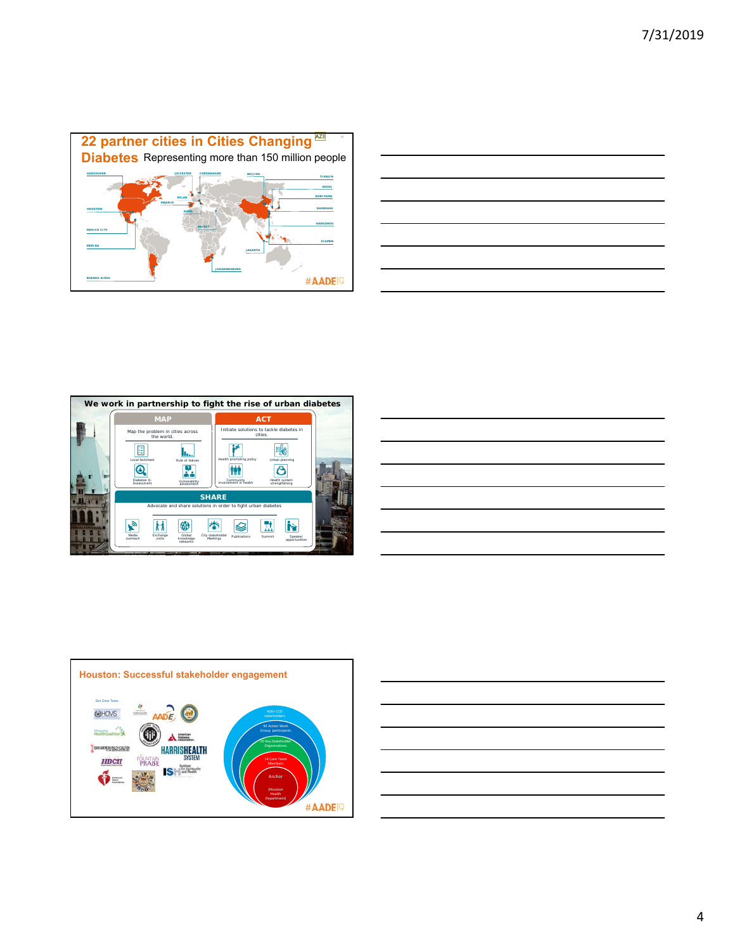









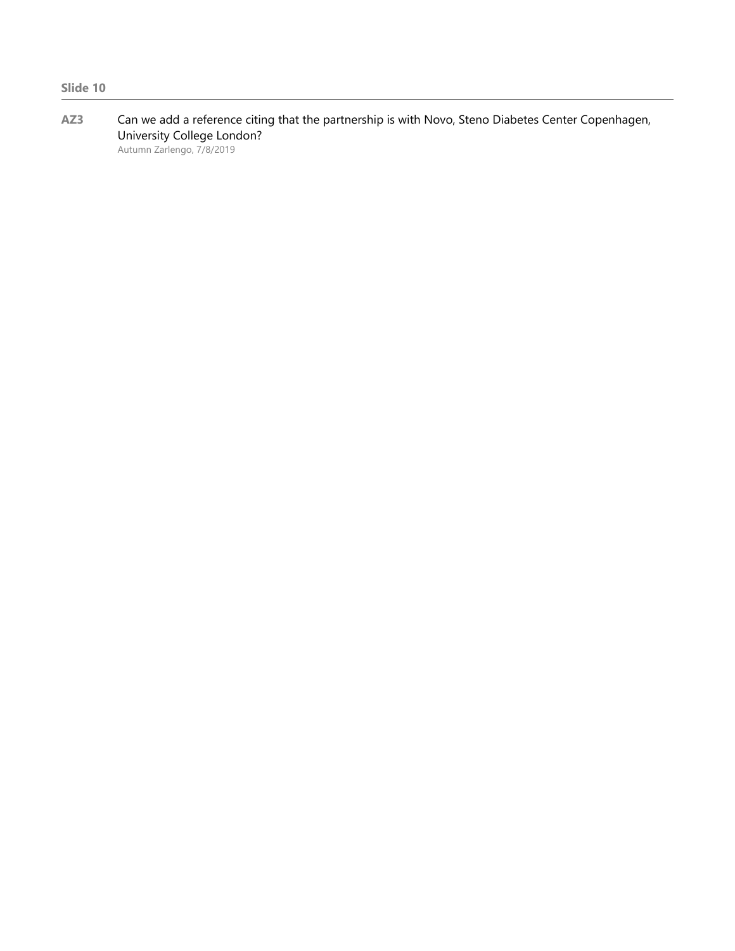**AZ3** Can we add a reference citing that the partnership is with Novo, Steno Diabetes Center Copenhagen, University College London?

Autumn Zarlengo, 7/8/2019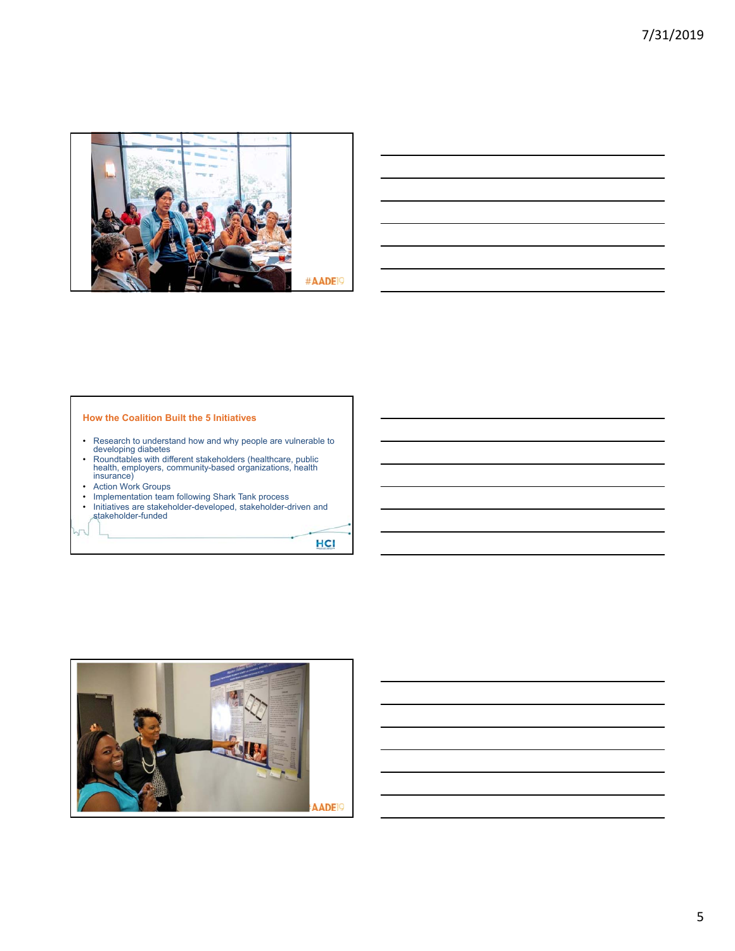



#### **How the Coalition Built the 5 Initiatives**

- Research to understand how and why people are vulnerable to developing diabetes
- Roundtables with different stakeholders (healthcare, public health, employers, community-based organizations, health insurance)
- Action Work Groups
- Implementation team following Shark Tank process
- Initiatives are stakeholder-developed, stakeholder-driven and stakeholder-funded

HCI



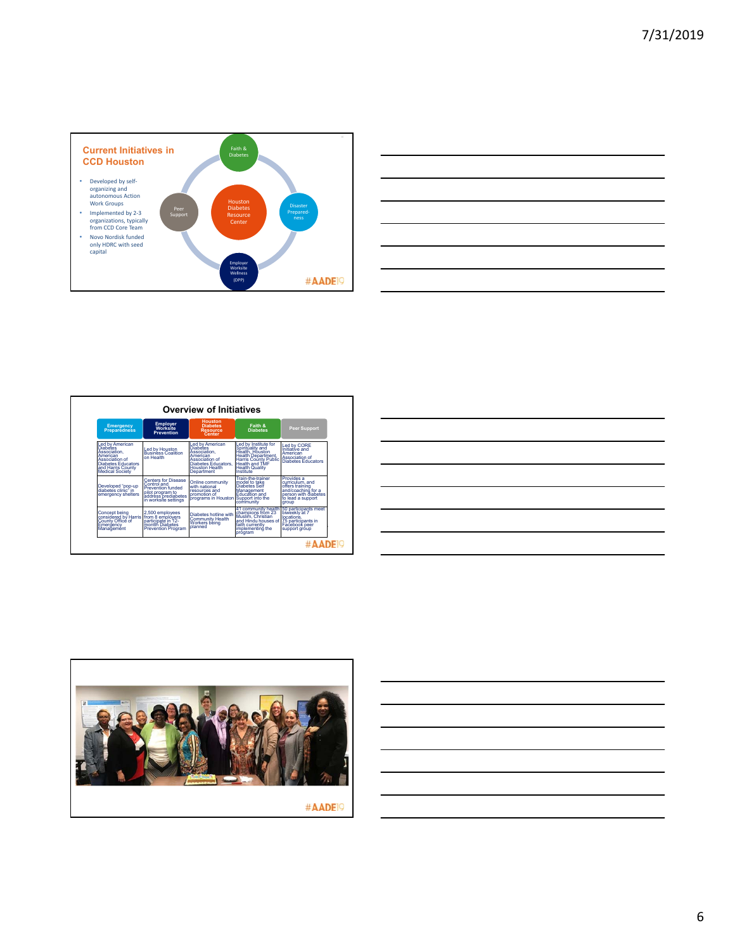

| <u> Album a control de la control de la control de la control de la control de la control de la control de la con</u> | <b>Service Contract</b>                                                                                              |  |
|-----------------------------------------------------------------------------------------------------------------------|----------------------------------------------------------------------------------------------------------------------|--|
|                                                                                                                       |                                                                                                                      |  |
|                                                                                                                       |                                                                                                                      |  |
|                                                                                                                       |                                                                                                                      |  |
|                                                                                                                       |                                                                                                                      |  |
|                                                                                                                       | <u> 1989 - Andrea Santa Andrea Andrea Andrea Andrea Andrea Andrea Andrea Andrea Andrea Andrea Andrea Andrea Andr</u> |  |
|                                                                                                                       |                                                                                                                      |  |
|                                                                                                                       |                                                                                                                      |  |

| <b>Overview of Initiatives</b>                                                                                                                                      |                                                                                                                                          |                                                                                                                                                       |                                                                                                                                                                          |                                                                                                                              |  |
|---------------------------------------------------------------------------------------------------------------------------------------------------------------------|------------------------------------------------------------------------------------------------------------------------------------------|-------------------------------------------------------------------------------------------------------------------------------------------------------|--------------------------------------------------------------------------------------------------------------------------------------------------------------------------|------------------------------------------------------------------------------------------------------------------------------|--|
| <b>Emergency</b><br><b>Preparedness</b>                                                                                                                             | Employer<br>Worksite<br><b>Prevention</b>                                                                                                | <b>Houston</b><br><b>Diabetes</b><br><b>Resource</b><br>Center                                                                                        | Faith &<br><b>Diabetes</b>                                                                                                                                               | <b>Peer Support</b>                                                                                                          |  |
| <b>Led by American</b><br><b>Diabetes</b><br>Association.<br>American<br>Association of<br><b>Diabetes Educators</b><br>and Harris County<br><b>Medical Society</b> | Led by Houston<br><b>Business Coalition</b><br>on Health                                                                                 | <b>Led by American</b><br><b>Diabetes</b><br>Association.<br>American<br>Association of<br>Diabetes Educators,<br><b>Houston Health</b><br>Department | Led by Institute for<br>Spiritúality and<br>Health, Houston<br><b>Health Department,</b><br><b>Harris County Public</b><br>Health and TMF<br>Health Quality<br>Institute | Led by CORE<br>Initiative and<br>American<br>Association of<br>Diabetes Educators                                            |  |
| Developed "pop-up<br>diabetes clinic" in<br>emergency shelters                                                                                                      | <b>Centers for Disease</b><br>Control and<br><b>Prevention funded</b><br>pilot program to<br>address prediabetes<br>in worksite settings | Online community<br>with national<br>resources and<br>promotion of<br>programs in Houston Support into the                                            | <b>Train-the-trainer</b><br>model to take<br><b>Diabetes Self</b><br>Management<br><b>Education and</b><br>community                                                     | Provides a<br>curriculum, and<br>offers training<br>and/coaching for a<br>person with diabetes<br>to lead a support<br>group |  |
| Concept being<br>considered by Harris<br>County Office of<br>Emergency<br>Management                                                                                | 2,500 employees<br>from 8 employers<br>participate in 12-<br>montth Diabetes<br><b>Prevention Program</b>                                | Diabetes hotline with<br><b>Community Health</b><br>Workers being<br>planned                                                                          | 41 community health 50 participants meet<br>champions from 23<br>Muslim, Christian<br>and Hindu houses of<br>faith currently<br>implementing the<br>program              | biweekly at 7<br>locations<br>75 participants in<br>Facebook peer<br>support group                                           |  |

| $\overline{\phantom{a}}$ |
|--------------------------|
|                          |
|                          |
|                          |
|                          |
|                          |

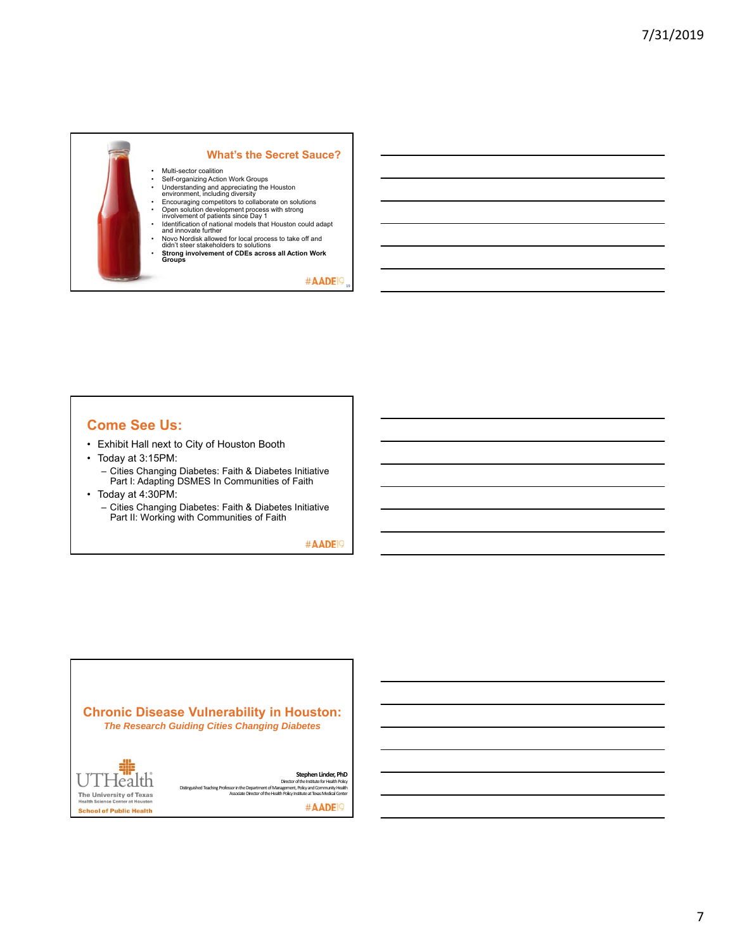

## **Come See Us:**

- Exhibit Hall next to City of Houston Booth
- Today at 3:15PM: – Cities Changing Diabetes: Faith & Diabetes Initiative
	- Part I: Adapting DSMES In Communities of Faith
- Today at 4:30PM:
	- Cities Changing Diabetes: Faith & Diabetes Initiative Part II: Working with Communities of Faith

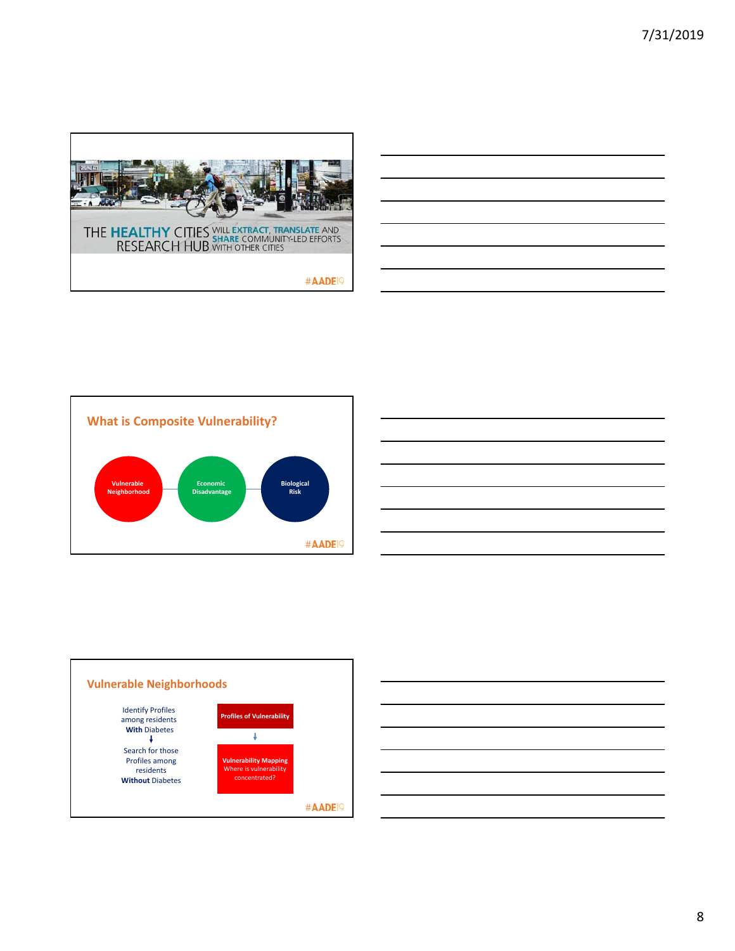





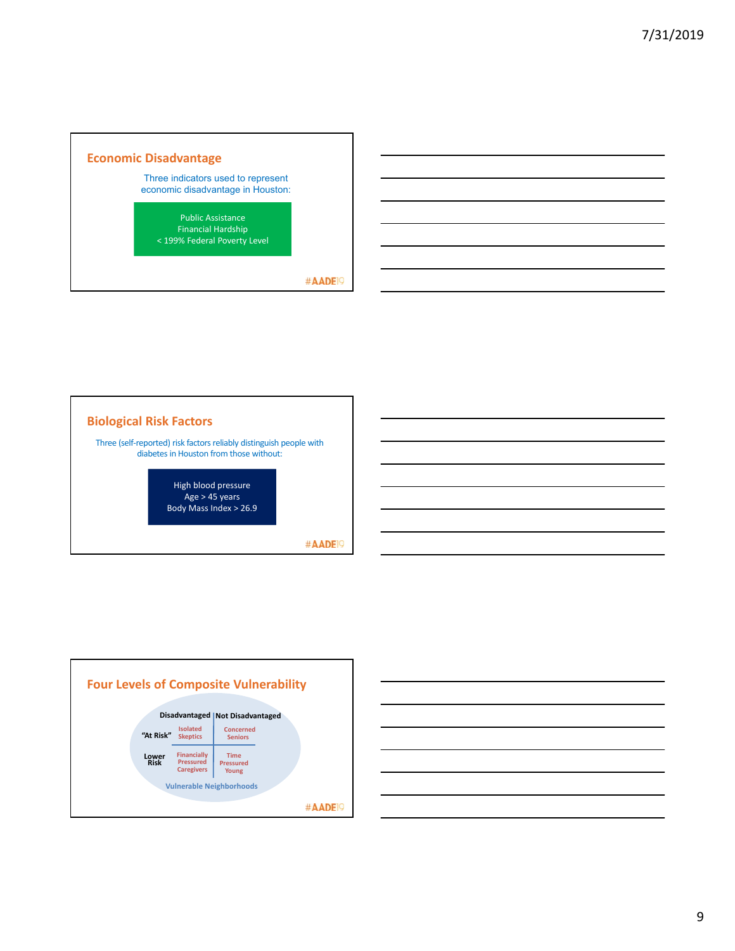